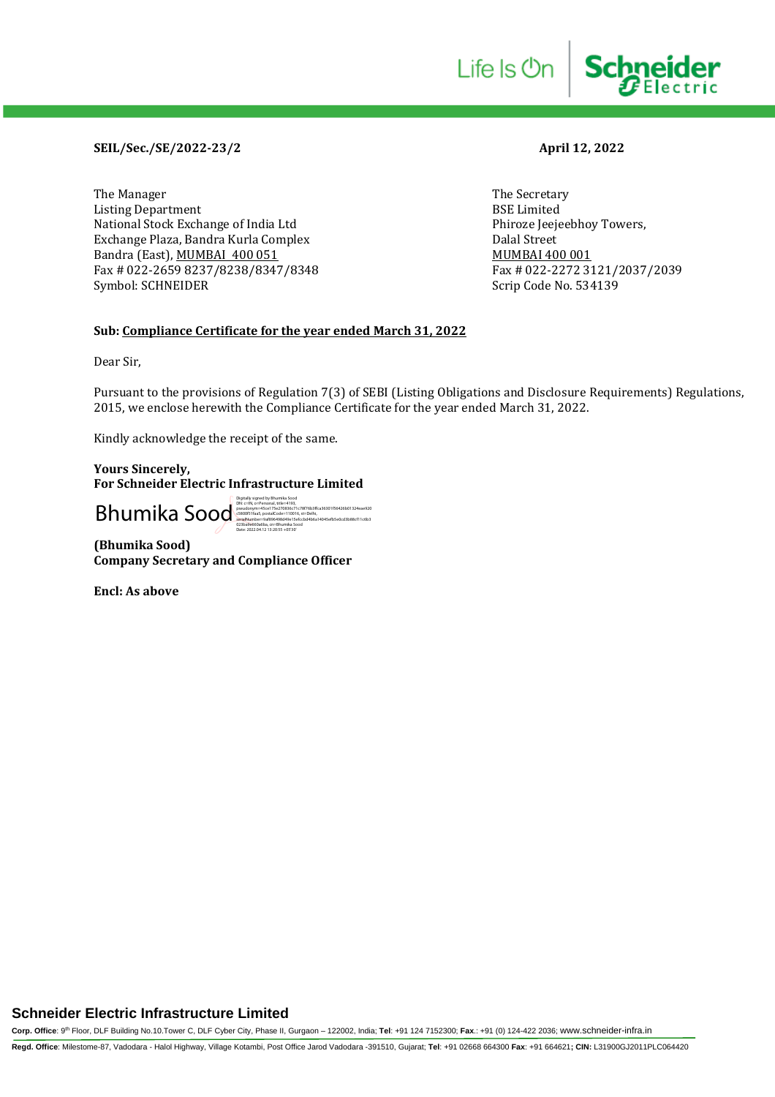# **SEIL/Sec./SE/2022-23/2 April 12, 2022**

The Manager The Secretary (The Secretary Article 1996) and the Secretary (The Secretary Article 1996) and the Secretary (The Secretary Article 1997) and the Secretary (The Secretary Article 1997) and the Secretary (The Sec Listing Department<br>
National Stock Exchange of India Ltd
BSE Limited
Phiroze Jeejeebhoy Towers, National Stock Exchange of India Ltd Exchange Plaza, Bandra Kurla Complex Dalal Street Bandra (East), <u>MUMBAI 400 051</u><br>Fax # 022-2659 8237/8238/8347/8348 Fax # 022-2272 3121/2037/2039 Fax # 022-2659 8237/8238/8347/8348 Symbol: SCHNEIDER Scrip Code No. 534139

Life Is On

**Schneider** 

## **Sub: Compliance Certificate for the year ended March 31, 2022**

Dear Sir,

Pursuant to the provisions of Regulation 7(3) of SEBI (Listing Obligations and Disclosure Requirements) Regulations, 2015, we enclose herewith the Compliance Certificate for the year ended March 31, 2022.

Kindly acknowledge the receipt of the same.

**Yours Sincerely, For Schneider Electric Infrastructure Limited**

Bhumail Contract Contract Contract Contract Contract Contract Contract Contract Contract Contract Contract Contract Contract Contract Contract Contract Contract Contract Contract Contract Contract Contract Contract Contrac 023ba9e660a6ba, cn=Bhumika Sood Date: 2022.04.12 13:20:55 +05'30'

**(Bhumika Sood) Company Secretary and Compliance Officer**

**Encl: As above**

# **Schneider Electric Infrastructure Limited**

**Corp. Office**: 9th Floor, DLF Building No.10.Tower C, DLF Cyber City, Phase II, Gurgaon – 122002, India; **Tel**: +91 124 7152300; **Fax**.: +91 (0) 124-422 2036; www.schneider-infra.in **Regd. Office**: Milestome-87, Vadodara - Halol Highway, Village Kotambi, Post Office Jarod Vadodara -391510, Gujarat; **Tel**: +91 02668 664300 **Fax**: +91 664621**; CIN:** L31900GJ2011PLC064420